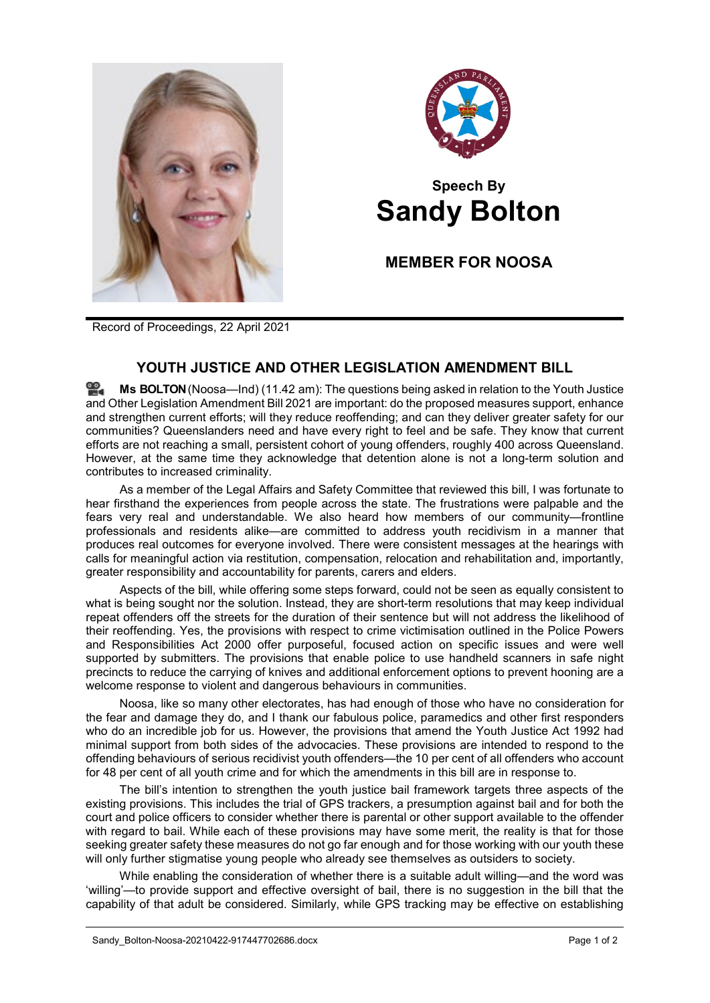



## **Speech By Sandy Bolton**

**MEMBER FOR NOOSA**

Record of Proceedings, 22 April 2021

## **YOUTH JUSTICE AND OTHER LEGISLATION AMENDMENT BILL**

**Ms [BOLTON](http://www.parliament.qld.gov.au/docs/find.aspx?id=0Mba20210422_114219)**(Noosa—Ind) (11.42 am): The questions being asked in relation to the Youth Justice and Other Legislation Amendment Bill 2021 are important: do the proposed measures support, enhance and strengthen current efforts; will they reduce reoffending; and can they deliver greater safety for our communities? Queenslanders need and have every right to feel and be safe. They know that current efforts are not reaching a small, persistent cohort of young offenders, roughly 400 across Queensland. However, at the same time they acknowledge that detention alone is not a long-term solution and contributes to increased criminality.

As a member of the Legal Affairs and Safety Committee that reviewed this bill, I was fortunate to hear firsthand the experiences from people across the state. The frustrations were palpable and the fears very real and understandable. We also heard how members of our community—frontline professionals and residents alike—are committed to address youth recidivism in a manner that produces real outcomes for everyone involved. There were consistent messages at the hearings with calls for meaningful action via restitution, compensation, relocation and rehabilitation and, importantly, greater responsibility and accountability for parents, carers and elders.

Aspects of the bill, while offering some steps forward, could not be seen as equally consistent to what is being sought nor the solution. Instead, they are short-term resolutions that may keep individual repeat offenders off the streets for the duration of their sentence but will not address the likelihood of their reoffending. Yes, the provisions with respect to crime victimisation outlined in the Police Powers and Responsibilities Act 2000 offer purposeful, focused action on specific issues and were well supported by submitters. The provisions that enable police to use handheld scanners in safe night precincts to reduce the carrying of knives and additional enforcement options to prevent hooning are a welcome response to violent and dangerous behaviours in communities.

Noosa, like so many other electorates, has had enough of those who have no consideration for the fear and damage they do, and I thank our fabulous police, paramedics and other first responders who do an incredible job for us. However, the provisions that amend the Youth Justice Act 1992 had minimal support from both sides of the advocacies. These provisions are intended to respond to the offending behaviours of serious recidivist youth offenders—the 10 per cent of all offenders who account for 48 per cent of all youth crime and for which the amendments in this bill are in response to.

The bill's intention to strengthen the youth justice bail framework targets three aspects of the existing provisions. This includes the trial of GPS trackers, a presumption against bail and for both the court and police officers to consider whether there is parental or other support available to the offender with regard to bail. While each of these provisions may have some merit, the reality is that for those seeking greater safety these measures do not go far enough and for those working with our youth these will only further stigmatise young people who already see themselves as outsiders to society.

While enabling the consideration of whether there is a suitable adult willing—and the word was 'willing'—to provide support and effective oversight of bail, there is no suggestion in the bill that the capability of that adult be considered. Similarly, while GPS tracking may be effective on establishing